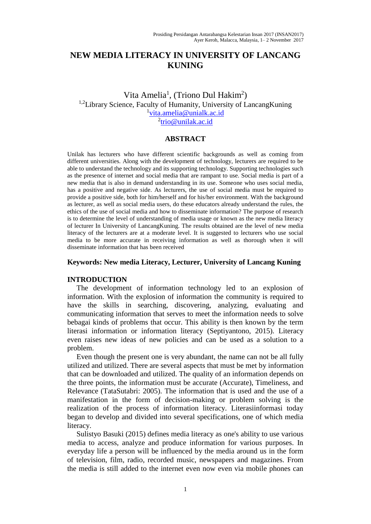# **NEW MEDIA LITERACY IN UNIVERSITY OF LANCANG KUNING**

## Vita Amelia<sup>1</sup>, (Triono Dul Hakim<sup>2</sup>) <sup>1,2</sup>Library Science, Faculty of Humanity, University of LancangKuning <sup>1</sup>[vita.amelia@unialk.ac.id](mailto:vita.amelia@unialk.ac.id) <sup>2</sup>[trio@unilak.ac.id](mailto:trio@unilak.ac.id)

#### **ABSTRACT**

Unilak has lecturers who have different scientific backgrounds as well as coming from different universities. Along with the development of technology, lecturers are required to be able to understand the technology and its supporting technology. Supporting technologies such as the presence of internet and social media that are rampant to use. Social media is part of a new media that is also in demand understanding in its use. Someone who uses social media, has a positive and negative side. As lecturers, the use of social media must be required to provide a positive side, both for him/herself and for his/her environment. With the background as lecturer, as well as social media users, do these educators already understand the rules, the ethics of the use of social media and how to disseminate information? The purpose of research is to determine the level of understanding of media usage or known as the new media literacy of lecturer In University of LancangKuning. The results obtained are the level of new media literacy of the lecturers are at a moderate level. It is suggested to lecturers who use social media to be more accurate in receiving information as well as thorough when it will disseminate information that has been received

#### **Keywords: New media Literacy, Lecturer, University of Lancang Kuning**

### **INTRODUCTION**

 The development of information technology led to an explosion of information. With the explosion of information the community is required to have the skills in searching, discovering, analyzing, evaluating and communicating information that serves to meet the information needs to solve bebagai kinds of problems that occur. This ability is then known by the term literasi information or information literacy (Septiyantono, 2015). Literacy even raises new ideas of new policies and can be used as a solution to a problem.

 Even though the present one is very abundant, the name can not be all fully utilized and utilized. There are several aspects that must be met by information that can be downloaded and utilized. The quality of an information depends on the three points, the information must be accurate (Accurate), Timeliness, and Relevance (TataSutabri: 2005). The information that is used and the use of a manifestation in the form of decision-making or problem solving is the realization of the process of information literacy. Literasiinformasi today began to develop and divided into several specifications, one of which media literacy.

 Sulistyo Basuki (2015) defines media literacy as one's ability to use various media to access, analyze and produce information for various purposes. In everyday life a person will be influenced by the media around us in the form of television, film, radio, recorded music, newspapers and magazines. From the media is still added to the internet even now even via mobile phones can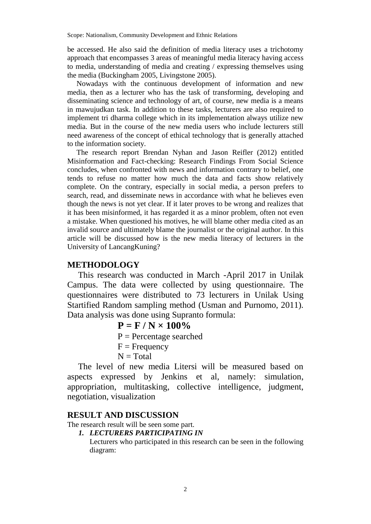Scope: Nationalism, Community Development and Ethnic Relations

be accessed. He also said the definition of media literacy uses a trichotomy approach that encompasses 3 areas of meaningful media literacy having access to media, understanding of media and creating / expressing themselves using the media (Buckingham 2005, Livingstone 2005).

 Nowadays with the continuous development of information and new media, then as a lecturer who has the task of transforming, developing and disseminating science and technology of art, of course, new media is a means in mawujudkan task. In addition to these tasks, lecturers are also required to implement tri dharma college which in its implementation always utilize new media. But in the course of the new media users who include lecturers still need awareness of the concept of ethical technology that is generally attached to the information society.

 The research report Brendan Nyhan and Jason Reifler (2012) entitled Misinformation and Fact-checking: Research Findings From Social Science concludes, when confronted with news and information contrary to belief, one tends to refuse no matter how much the data and facts show relatively complete. On the contrary, especially in social media, a person prefers to search, read, and disseminate news in accordance with what he believes even though the news is not yet clear. If it later proves to be wrong and realizes that it has been misinformed, it has regarded it as a minor problem, often not even a mistake. When questioned his motives, he will blame other media cited as an invalid source and ultimately blame the journalist or the original author. In this article will be discussed how is the new media literacy of lecturers in the University of LancangKuning?

## **METHODOLOGY**

This research was conducted in March -April 2017 in Unilak Campus. The data were collected by using questionnaire. The questionnaires were distributed to 73 lecturers in Unilak Using Startified Random sampling method (Usman and Purnomo, 2011). Data analysis was done using Supranto formula:

 $P = F / N \times 100\%$ 

 $P =$  Percentage searched

```
F = Frequency
```
 $N = Total$ 

 The level of new media Litersi will be measured based on aspects expressed by Jenkins et al, namely: simulation, appropriation, multitasking, collective intelligence, judgment, negotiation, visualization

## **RESULT AND DISCUSSION**

The research result will be seen some part.

*1. LECTURERS PARTICIPATING IN* 

Lecturers who participated in this research can be seen in the following diagram: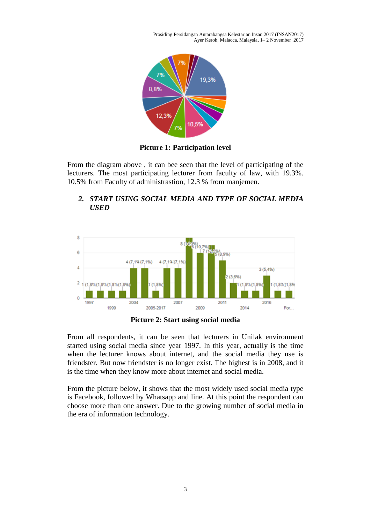Prosiding Persidangan Antarabangsa Kelestarian Insan 2017 (INSAN2017) Ayer Keroh, Malacca, Malaysia, 1– 2 November 2017



**Picture 1: Participation level** 

From the diagram above , it can bee seen that the level of participating of the lecturers. The most participating lecturer from faculty of law, with 19.3%. 10.5% from Faculty of administrastion, 12.3 % from manjemen.



### *2. START USING SOCIAL MEDIA AND TYPE OF SOCIAL MEDIA USED*

**Picture 2: Start using social media** 

From all respondents, it can be seen that lecturers in Unilak environment started using social media since year 1997. In this year, actually is the time when the lecturer knows about internet, and the social media they use is friendster. But now friendster is no longer exist. The highest is in 2008, and it is the time when they know more about internet and social media.

From the picture below, it shows that the most widely used social media type is Facebook, followed by Whatsapp and line. At this point the respondent can choose more than one answer. Due to the growing number of social media in the era of information technology.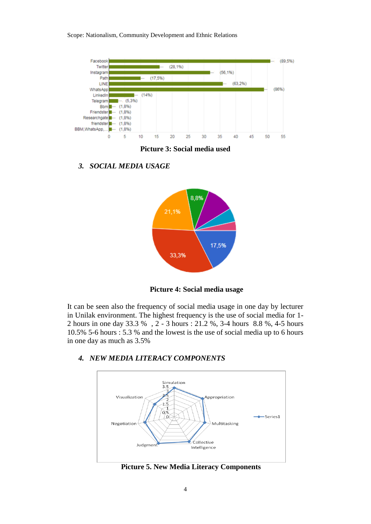Scope: Nationalism, Community Development and Ethnic Relations



**Picture 3: Social media used**

*3. SOCIAL MEDIA USAGE* 



**Picture 4: Social media usage**

It can be seen also the frequency of social media usage in one day by lecturer in Unilak environment. The highest frequency is the use of social media for 1- 2 hours in one day 33.3 % , 2 - 3 hours : 21.2 %, 3-4 hours 8.8 %, 4-5 hours 10.5% 5-6 hours : 5.3 % and the lowest is the use of social media up to 6 hours in one day as much as 3.5%



## *4. NEW MEDIA LITERACY COMPONENTS*

**Picture 5. New Media Literacy Components**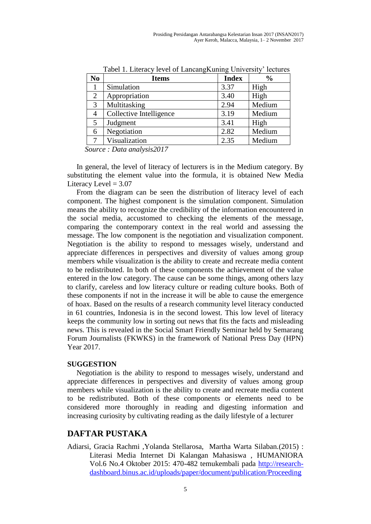| N <sub>0</sub> | <b>Items</b>            | <b>Index</b> | $\frac{0}{0}$ |
|----------------|-------------------------|--------------|---------------|
|                | Simulation              | 3.37         | High          |
| 2              | Appropriation           | 3.40         | High          |
| 3              | Multitasking            | 2.94         | Medium        |
| 4              | Collective Intelligence | 3.19         | Medium        |
| 5              | Judgment                | 3.41         | High          |
| 6              | Negotiation             | 2.82         | Medium        |
|                | Visualization           | 2.35         | Medium        |

Tabel 1. Literacy level of LancangKuning University' lectures

*Source : Data analysis2017*

 In general, the level of literacy of lecturers is in the Medium category. By substituting the element value into the formula, it is obtained New Media Literacy Level  $= 3.07$ 

 From the diagram can be seen the distribution of literacy level of each component. The highest component is the simulation component. Simulation means the ability to recognize the credibility of the information encountered in the social media, accustomed to checking the elements of the message, comparing the contemporary context in the real world and assessing the message. The low component is the negotiation and visualization component. Negotiation is the ability to respond to messages wisely, understand and appreciate differences in perspectives and diversity of values among group members while visualization is the ability to create and recreate media content to be redistributed. In both of these components the achievement of the value entered in the low category. The cause can be some things, among others lazy to clarify, careless and low literacy culture or reading culture books. Both of these components if not in the increase it will be able to cause the emergence of hoax. Based on the results of a research community level literacy conducted in 61 countries, Indonesia is in the second lowest. This low level of literacy keeps the community low in sorting out news that fits the facts and misleading news. This is revealed in the Social Smart Friendly Seminar held by Semarang Forum Journalists (FKWKS) in the framework of National Press Day (HPN) Year 2017.

### **SUGGESTION**

 Negotiation is the ability to respond to messages wisely, understand and appreciate differences in perspectives and diversity of values among group members while visualization is the ability to create and recreate media content to be redistributed. Both of these components or elements need to be considered more thoroughly in reading and digesting information and increasing curiosity by cultivating reading as the daily lifestyle of a lecturer

## **DAFTAR PUSTAKA**

Adiarsi, Gracia Rachmi ,Yolanda Stellarosa, Martha Warta Silaban.(2015) : Literasi Media Internet Di Kalangan Mahasiswa , HUMANIORA Vol.6 No.4 Oktober 2015: 470-482 temukembali pada [http://research](http://research-dashboard.binus.ac.id/uploads/paper/document/publication/Proceeding/Humaniora/Vol%206%20No%204%20Oktober%202015/05_LSPR_Gracia%20dkk_Literasi%20Media_a2t.pdf)[dashboard.binus.ac.id/uploads/paper/document/publication/Proceeding](http://research-dashboard.binus.ac.id/uploads/paper/document/publication/Proceeding/Humaniora/Vol%206%20No%204%20Oktober%202015/05_LSPR_Gracia%20dkk_Literasi%20Media_a2t.pdf)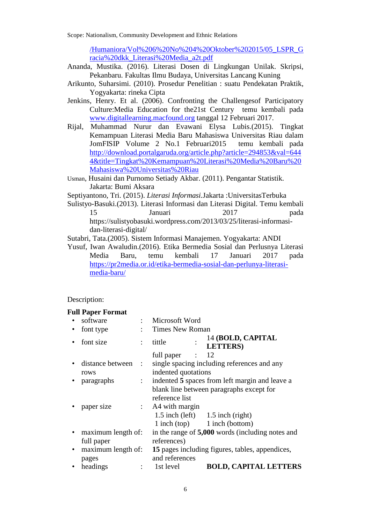Scope: Nationalism, Community Development and Ethnic Relations

[/Humaniora/Vol%206%20No%204%20Oktober%202015/05\\_LSPR\\_G](http://research-dashboard.binus.ac.id/uploads/paper/document/publication/Proceeding/Humaniora/Vol%206%20No%204%20Oktober%202015/05_LSPR_Gracia%20dkk_Literasi%20Media_a2t.pdf) [racia%20dkk\\_Literasi%20Media\\_a2t.pdf](http://research-dashboard.binus.ac.id/uploads/paper/document/publication/Proceeding/Humaniora/Vol%206%20No%204%20Oktober%202015/05_LSPR_Gracia%20dkk_Literasi%20Media_a2t.pdf)

- Ananda, Mustika. (2016). Literasi Dosen di Lingkungan Unilak. Skripsi, Pekanbaru. Fakultas Ilmu Budaya, Universitas Lancang Kuning
- Arikunto, Suharsimi. (2010). Prosedur Penelitian : suatu Pendekatan Praktik, Yogyakarta: rineka Cipta
- Jenkins, Henry. Et al. (2006). Confronting the Challengesof Participatory Culture:Media Education for the21st Century temu kembali pada [www.digitallearning.macfound.org](http://www.digitallearning.macfound.org/) tanggal 12 Februari 2017.
- Rijal, Muhammad Nurur dan Evawani Elysa Lubis.(2015). Tingkat Kemampuan Literasi Media Baru Mahasiswa Universitas Riau dalam JomFISIP Volume 2 No.1 Februari2015 temu kembali pada [http://download.portalgaruda.org/article.php?article=294853&val=644](http://download.portalgaruda.org/article.php?article=294853&val=6444&title=Tingkat%20Kemampuan%20Literasi%20Media%20Baru%20Mahasiswa%20Universitas%20Riau) [4&title=Tingkat%20Kemampuan%20Literasi%20Media%20Baru%20](http://download.portalgaruda.org/article.php?article=294853&val=6444&title=Tingkat%20Kemampuan%20Literasi%20Media%20Baru%20Mahasiswa%20Universitas%20Riau) [Mahasiswa%20Universitas%20Riau](http://download.portalgaruda.org/article.php?article=294853&val=6444&title=Tingkat%20Kemampuan%20Literasi%20Media%20Baru%20Mahasiswa%20Universitas%20Riau)
- Usman, Husaini dan Purnomo Setiady Akbar. (2011). Pengantar Statistik. Jakarta: Bumi Aksara

Septiyantono, Tri. (2015). *Literasi Informasi.*Jakarta :UniversitasTerbuka

Sulistyo-Basuki.(2013). Literasi Informasi dan Literasi Digital. Temu kembali 15 Januari 2017 pada [https://sulistyobasuki.wordpress.com/2013/03/25/literasi-informasi-](https://sulistyobasuki.wordpress.com/2013/03/25/literasi-informasi-dan-literasi-digital/)

[dan-literasi-digital/](https://sulistyobasuki.wordpress.com/2013/03/25/literasi-informasi-dan-literasi-digital/)

Sutabri, Tata.(2005). Sistem Informasi Manajemen. Yogyakarta: ANDI

Yusuf, Iwan Awaludin.(2016). Etika Bermedia Sosial dan Perlusnya Literasi Media Baru, temu kembali 17 Januari 2017 pada [https://pr2media.or.id/etika-bermedia-sosial-dan-perlunya-literasi](https://pr2media.or.id/etika-bermedia-sosial-dan-perlunya-literasi-media-baru/)[media-baru/](https://pr2media.or.id/etika-bermedia-sosial-dan-perlunya-literasi-media-baru/)

### Description:

### **Full Paper Format**

|           | software             |                           | Microsoft Word                                  |   |                                                  |
|-----------|----------------------|---------------------------|-------------------------------------------------|---|--------------------------------------------------|
|           | font type            |                           | Times New Roman                                 |   |                                                  |
|           | font size            | ÷                         | tittle                                          |   | 14 (BOLD, CAPITAL<br><b>LETTERS</b> )            |
|           |                      |                           | full paper                                      | ÷ | 12                                               |
|           | distance between     | $\mathbb{R}^n$            |                                                 |   | single spacing including references and any      |
|           | rows                 |                           | indented quotations                             |   |                                                  |
| $\bullet$ | paragraphs           | $\mathbb{Z}^{\mathbb{Z}}$ |                                                 |   | indented 5 spaces from left margin and leave a   |
|           |                      |                           |                                                 |   | blank line between paragraphs except for         |
|           |                      |                           | reference list                                  |   |                                                  |
|           | paper size           |                           | : A4 with margin                                |   |                                                  |
|           |                      |                           |                                                 |   | 1.5 inch (left) $1.5$ inch (right)               |
|           |                      |                           |                                                 |   | 1 inch (top) 1 inch (bottom)                     |
| $\bullet$ | maximum length of:   |                           |                                                 |   | in the range of 5,000 words (including notes and |
|           | full paper           |                           | references)                                     |   |                                                  |
|           | • maximum length of: |                           | 15 pages including figures, tables, appendices, |   |                                                  |
|           | pages                |                           | and references                                  |   |                                                  |
|           | headings             |                           | 1st level                                       |   | <b>BOLD, CAPITAL LETTERS</b>                     |